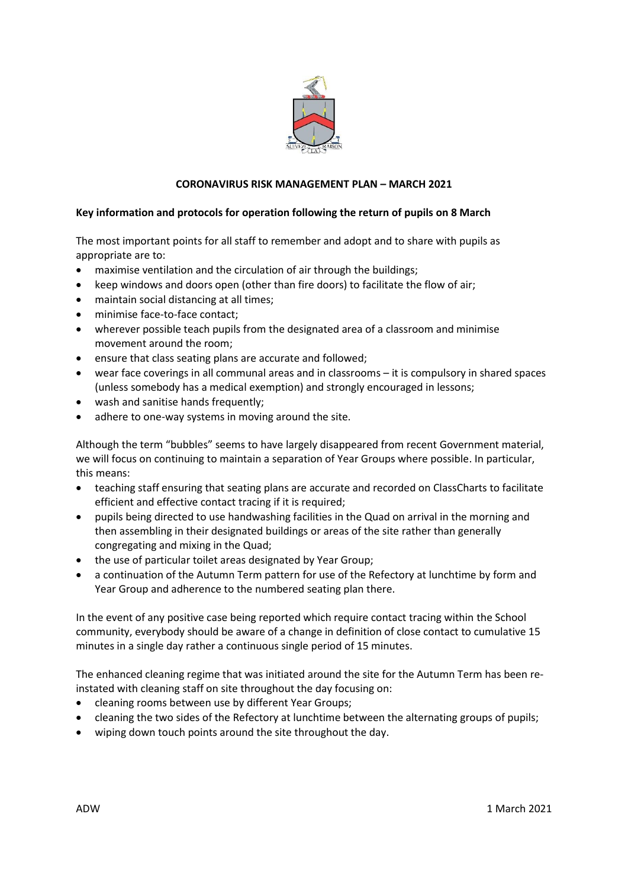

# **CORONAVIRUS RISK MANAGEMENT PLAN – MARCH 2021**

## **Key information and protocols for operation following the return of pupils on 8 March**

The most important points for all staff to remember and adopt and to share with pupils as appropriate are to:

- maximise ventilation and the circulation of air through the buildings;
- keep windows and doors open (other than fire doors) to facilitate the flow of air;
- maintain social distancing at all times;
- minimise face-to-face contact;
- wherever possible teach pupils from the designated area of a classroom and minimise movement around the room;
- ensure that class seating plans are accurate and followed;
- wear face coverings in all communal areas and in classrooms it is compulsory in shared spaces (unless somebody has a medical exemption) and strongly encouraged in lessons;
- wash and sanitise hands frequently;
- adhere to one-way systems in moving around the site.

Although the term "bubbles" seems to have largely disappeared from recent Government material, we will focus on continuing to maintain a separation of Year Groups where possible. In particular, this means:

- teaching staff ensuring that seating plans are accurate and recorded on ClassCharts to facilitate efficient and effective contact tracing if it is required;
- pupils being directed to use handwashing facilities in the Quad on arrival in the morning and then assembling in their designated buildings or areas of the site rather than generally congregating and mixing in the Quad;
- the use of particular toilet areas designated by Year Group;
- a continuation of the Autumn Term pattern for use of the Refectory at lunchtime by form and Year Group and adherence to the numbered seating plan there.

In the event of any positive case being reported which require contact tracing within the School community, everybody should be aware of a change in definition of close contact to cumulative 15 minutes in a single day rather a continuous single period of 15 minutes.

The enhanced cleaning regime that was initiated around the site for the Autumn Term has been reinstated with cleaning staff on site throughout the day focusing on:

- cleaning rooms between use by different Year Groups;
- cleaning the two sides of the Refectory at lunchtime between the alternating groups of pupils;
- wiping down touch points around the site throughout the day.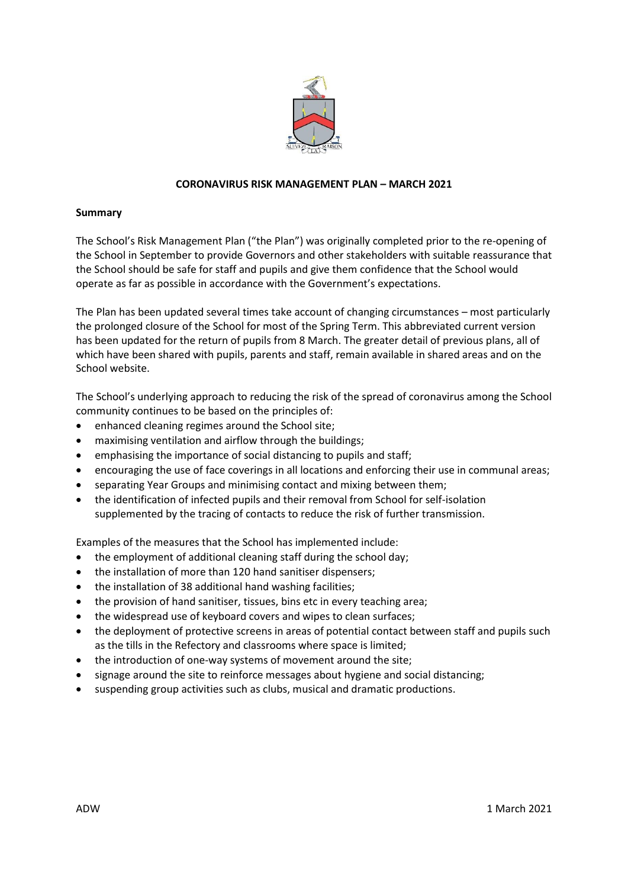

## **CORONAVIRUS RISK MANAGEMENT PLAN – MARCH 2021**

### **Summary**

The School's Risk Management Plan ("the Plan") was originally completed prior to the re-opening of the School in September to provide Governors and other stakeholders with suitable reassurance that the School should be safe for staff and pupils and give them confidence that the School would operate as far as possible in accordance with the Government's expectations.

The Plan has been updated several times take account of changing circumstances – most particularly the prolonged closure of the School for most of the Spring Term. This abbreviated current version has been updated for the return of pupils from 8 March. The greater detail of previous plans, all of which have been shared with pupils, parents and staff, remain available in shared areas and on the School website.

The School's underlying approach to reducing the risk of the spread of coronavirus among the School community continues to be based on the principles of:

- enhanced cleaning regimes around the School site;
- maximising ventilation and airflow through the buildings;
- emphasising the importance of social distancing to pupils and staff;
- encouraging the use of face coverings in all locations and enforcing their use in communal areas;
- separating Year Groups and minimising contact and mixing between them;
- the identification of infected pupils and their removal from School for self-isolation supplemented by the tracing of contacts to reduce the risk of further transmission.

Examples of the measures that the School has implemented include:

- the employment of additional cleaning staff during the school day;
- the installation of more than 120 hand sanitiser dispensers;
- the installation of 38 additional hand washing facilities;
- the provision of hand sanitiser, tissues, bins etc in every teaching area;
- the widespread use of keyboard covers and wipes to clean surfaces;
- the deployment of protective screens in areas of potential contact between staff and pupils such as the tills in the Refectory and classrooms where space is limited;
- the introduction of one-way systems of movement around the site;
- signage around the site to reinforce messages about hygiene and social distancing;
- suspending group activities such as clubs, musical and dramatic productions.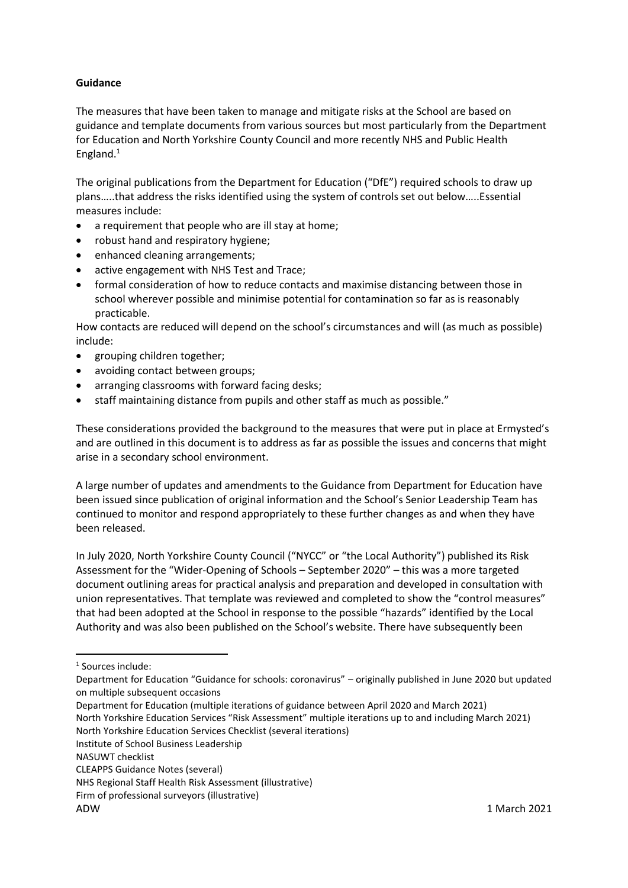## **Guidance**

The measures that have been taken to manage and mitigate risks at the School are based on guidance and template documents from various sources but most particularly from the Department for Education and North Yorkshire County Council and more recently NHS and Public Health England. 1

The original publications from the Department for Education ("DfE") required schools to draw up plans…..that address the risks identified using the system of controls set out below…..Essential measures include:

- a requirement that people who are ill stay at home;
- robust hand and respiratory hygiene;
- enhanced cleaning arrangements;
- active engagement with NHS Test and Trace;
- formal consideration of how to reduce contacts and maximise distancing between those in school wherever possible and minimise potential for contamination so far as is reasonably practicable.

How contacts are reduced will depend on the school's circumstances and will (as much as possible) include:

- grouping children together;
- avoiding contact between groups;
- arranging classrooms with forward facing desks;
- staff maintaining distance from pupils and other staff as much as possible."

These considerations provided the background to the measures that were put in place at Ermysted's and are outlined in this document is to address as far as possible the issues and concerns that might arise in a secondary school environment.

A large number of updates and amendments to the Guidance from Department for Education have been issued since publication of original information and the School's Senior Leadership Team has continued to monitor and respond appropriately to these further changes as and when they have been released.

In July 2020, North Yorkshire County Council ("NYCC" or "the Local Authority") published its Risk Assessment for the "Wider-Opening of Schools – September 2020" – this was a more targeted document outlining areas for practical analysis and preparation and developed in consultation with union representatives. That template was reviewed and completed to show the "control measures" that had been adopted at the School in response to the possible "hazards" identified by the Local Authority and was also been published on the School's website. There have subsequently been

**.** 

North Yorkshire Education Services Checklist (several iterations)

<sup>&</sup>lt;sup>1</sup> Sources include:

Department for Education "Guidance for schools: coronavirus" – originally published in June 2020 but updated on multiple subsequent occasions

Department for Education (multiple iterations of guidance between April 2020 and March 2021) North Yorkshire Education Services "Risk Assessment" multiple iterations up to and including March 2021)

Institute of School Business Leadership

NASUWT checklist

CLEAPPS Guidance Notes (several)

NHS Regional Staff Health Risk Assessment (illustrative)

Firm of professional surveyors (illustrative)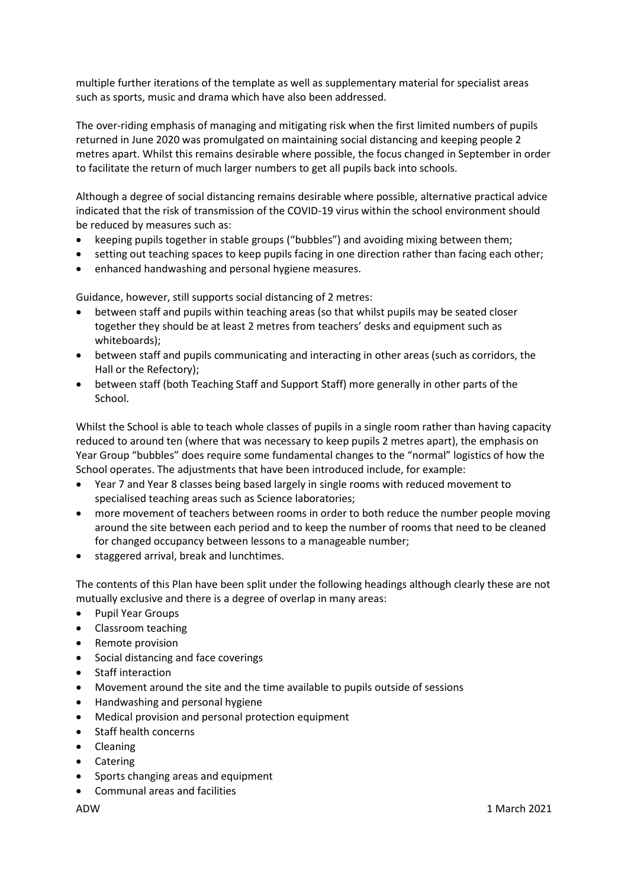multiple further iterations of the template as well as supplementary material for specialist areas such as sports, music and drama which have also been addressed.

The over-riding emphasis of managing and mitigating risk when the first limited numbers of pupils returned in June 2020 was promulgated on maintaining social distancing and keeping people 2 metres apart. Whilst this remains desirable where possible, the focus changed in September in order to facilitate the return of much larger numbers to get all pupils back into schools.

Although a degree of social distancing remains desirable where possible, alternative practical advice indicated that the risk of transmission of the COVID-19 virus within the school environment should be reduced by measures such as:

- keeping pupils together in stable groups ("bubbles") and avoiding mixing between them;
- setting out teaching spaces to keep pupils facing in one direction rather than facing each other;
- enhanced handwashing and personal hygiene measures.

Guidance, however, still supports social distancing of 2 metres:

- between staff and pupils within teaching areas (so that whilst pupils may be seated closer together they should be at least 2 metres from teachers' desks and equipment such as whiteboards);
- between staff and pupils communicating and interacting in other areas (such as corridors, the Hall or the Refectory);
- between staff (both Teaching Staff and Support Staff) more generally in other parts of the School.

Whilst the School is able to teach whole classes of pupils in a single room rather than having capacity reduced to around ten (where that was necessary to keep pupils 2 metres apart), the emphasis on Year Group "bubbles" does require some fundamental changes to the "normal" logistics of how the School operates. The adjustments that have been introduced include, for example:

- Year 7 and Year 8 classes being based largely in single rooms with reduced movement to specialised teaching areas such as Science laboratories;
- more movement of teachers between rooms in order to both reduce the number people moving around the site between each period and to keep the number of rooms that need to be cleaned for changed occupancy between lessons to a manageable number;
- staggered arrival, break and lunchtimes.

The contents of this Plan have been split under the following headings although clearly these are not mutually exclusive and there is a degree of overlap in many areas:

- Pupil Year Groups
- Classroom teaching
- Remote provision
- Social distancing and face coverings
- Staff interaction
- Movement around the site and the time available to pupils outside of sessions
- Handwashing and personal hygiene
- Medical provision and personal protection equipment
- Staff health concerns
- Cleaning
- Catering
- Sports changing areas and equipment
- Communal areas and facilities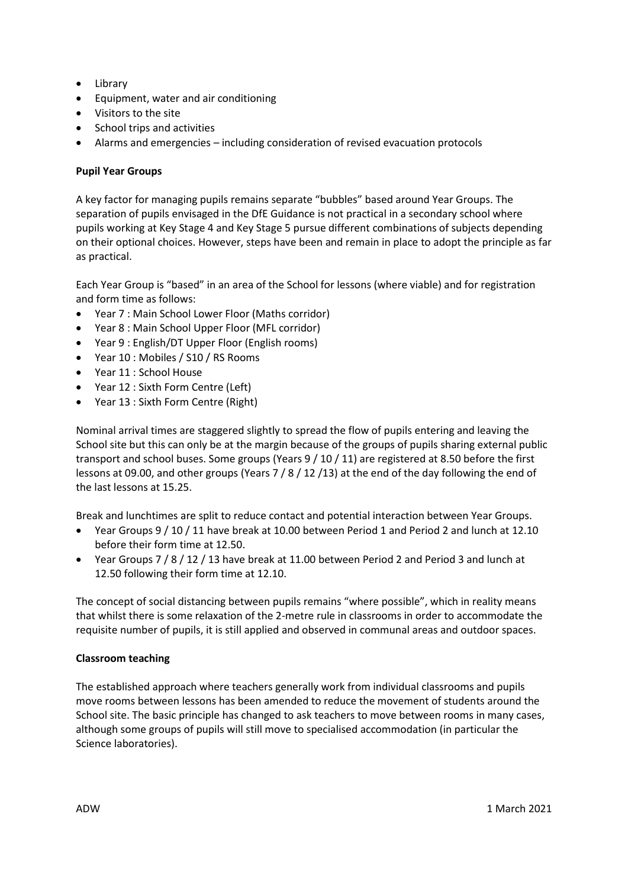- Library
- Equipment, water and air conditioning
- Visitors to the site
- School trips and activities
- Alarms and emergencies including consideration of revised evacuation protocols

# **Pupil Year Groups**

A key factor for managing pupils remains separate "bubbles" based around Year Groups. The separation of pupils envisaged in the DfE Guidance is not practical in a secondary school where pupils working at Key Stage 4 and Key Stage 5 pursue different combinations of subjects depending on their optional choices. However, steps have been and remain in place to adopt the principle as far as practical.

Each Year Group is "based" in an area of the School for lessons (where viable) and for registration and form time as follows:

- Year 7 : Main School Lower Floor (Maths corridor)
- Year 8 : Main School Upper Floor (MFL corridor)
- Year 9 : English/DT Upper Floor (English rooms)
- Year 10 : Mobiles / S10 / RS Rooms
- Year 11 : School House
- Year 12 : Sixth Form Centre (Left)
- Year 13 : Sixth Form Centre (Right)

Nominal arrival times are staggered slightly to spread the flow of pupils entering and leaving the School site but this can only be at the margin because of the groups of pupils sharing external public transport and school buses. Some groups (Years 9 / 10 / 11) are registered at 8.50 before the first lessons at 09.00, and other groups (Years 7 / 8 / 12 /13) at the end of the day following the end of the last lessons at 15.25.

Break and lunchtimes are split to reduce contact and potential interaction between Year Groups.

- Year Groups 9 / 10 / 11 have break at 10.00 between Period 1 and Period 2 and lunch at 12.10 before their form time at 12.50.
- Year Groups 7 / 8 / 12 / 13 have break at 11.00 between Period 2 and Period 3 and lunch at 12.50 following their form time at 12.10.

The concept of social distancing between pupils remains "where possible", which in reality means that whilst there is some relaxation of the 2-metre rule in classrooms in order to accommodate the requisite number of pupils, it is still applied and observed in communal areas and outdoor spaces.

### **Classroom teaching**

The established approach where teachers generally work from individual classrooms and pupils move rooms between lessons has been amended to reduce the movement of students around the School site. The basic principle has changed to ask teachers to move between rooms in many cases, although some groups of pupils will still move to specialised accommodation (in particular the Science laboratories).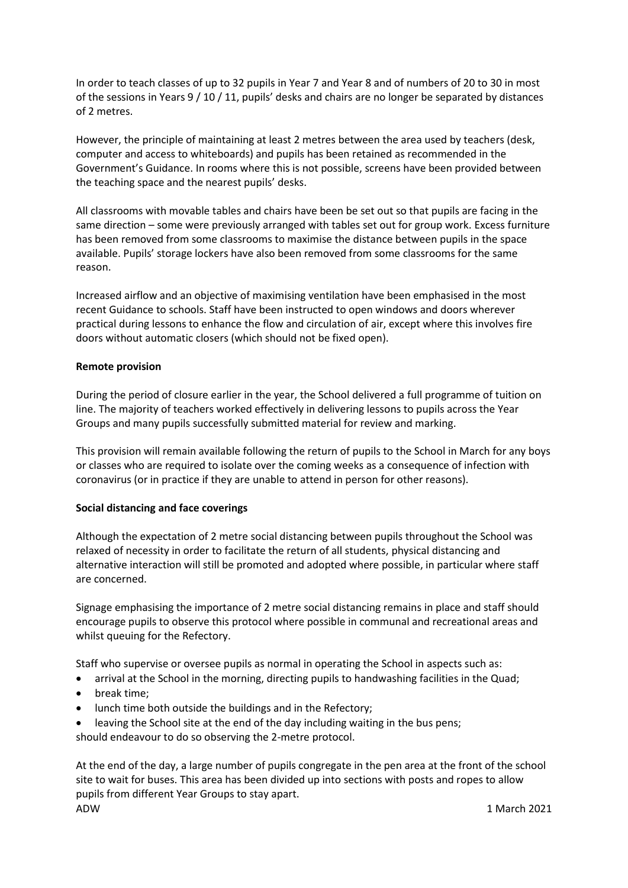In order to teach classes of up to 32 pupils in Year 7 and Year 8 and of numbers of 20 to 30 in most of the sessions in Years 9 / 10 / 11, pupils' desks and chairs are no longer be separated by distances of 2 metres.

However, the principle of maintaining at least 2 metres between the area used by teachers (desk, computer and access to whiteboards) and pupils has been retained as recommended in the Government's Guidance. In rooms where this is not possible, screens have been provided between the teaching space and the nearest pupils' desks.

All classrooms with movable tables and chairs have been be set out so that pupils are facing in the same direction – some were previously arranged with tables set out for group work. Excess furniture has been removed from some classrooms to maximise the distance between pupils in the space available. Pupils' storage lockers have also been removed from some classrooms for the same reason.

Increased airflow and an objective of maximising ventilation have been emphasised in the most recent Guidance to schools. Staff have been instructed to open windows and doors wherever practical during lessons to enhance the flow and circulation of air, except where this involves fire doors without automatic closers (which should not be fixed open).

### **Remote provision**

During the period of closure earlier in the year, the School delivered a full programme of tuition on line. The majority of teachers worked effectively in delivering lessons to pupils across the Year Groups and many pupils successfully submitted material for review and marking.

This provision will remain available following the return of pupils to the School in March for any boys or classes who are required to isolate over the coming weeks as a consequence of infection with coronavirus (or in practice if they are unable to attend in person for other reasons).

### **Social distancing and face coverings**

Although the expectation of 2 metre social distancing between pupils throughout the School was relaxed of necessity in order to facilitate the return of all students, physical distancing and alternative interaction will still be promoted and adopted where possible, in particular where staff are concerned.

Signage emphasising the importance of 2 metre social distancing remains in place and staff should encourage pupils to observe this protocol where possible in communal and recreational areas and whilst queuing for the Refectory.

Staff who supervise or oversee pupils as normal in operating the School in aspects such as:

- arrival at the School in the morning, directing pupils to handwashing facilities in the Quad;
- break time;
- lunch time both outside the buildings and in the Refectory;
- leaving the School site at the end of the day including waiting in the bus pens;

should endeavour to do so observing the 2-metre protocol.

ADW 1 March 2021 At the end of the day, a large number of pupils congregate in the pen area at the front of the school site to wait for buses. This area has been divided up into sections with posts and ropes to allow pupils from different Year Groups to stay apart.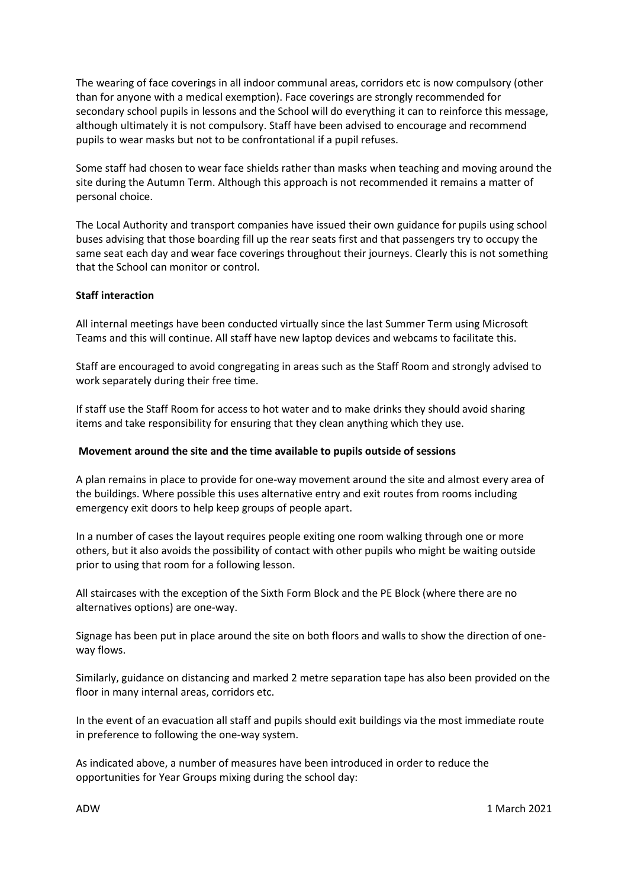The wearing of face coverings in all indoor communal areas, corridors etc is now compulsory (other than for anyone with a medical exemption). Face coverings are strongly recommended for secondary school pupils in lessons and the School will do everything it can to reinforce this message, although ultimately it is not compulsory. Staff have been advised to encourage and recommend pupils to wear masks but not to be confrontational if a pupil refuses.

Some staff had chosen to wear face shields rather than masks when teaching and moving around the site during the Autumn Term. Although this approach is not recommended it remains a matter of personal choice.

The Local Authority and transport companies have issued their own guidance for pupils using school buses advising that those boarding fill up the rear seats first and that passengers try to occupy the same seat each day and wear face coverings throughout their journeys. Clearly this is not something that the School can monitor or control.

#### **Staff interaction**

All internal meetings have been conducted virtually since the last Summer Term using Microsoft Teams and this will continue. All staff have new laptop devices and webcams to facilitate this.

Staff are encouraged to avoid congregating in areas such as the Staff Room and strongly advised to work separately during their free time.

If staff use the Staff Room for access to hot water and to make drinks they should avoid sharing items and take responsibility for ensuring that they clean anything which they use.

### **Movement around the site and the time available to pupils outside of sessions**

A plan remains in place to provide for one-way movement around the site and almost every area of the buildings. Where possible this uses alternative entry and exit routes from rooms including emergency exit doors to help keep groups of people apart.

In a number of cases the layout requires people exiting one room walking through one or more others, but it also avoids the possibility of contact with other pupils who might be waiting outside prior to using that room for a following lesson.

All staircases with the exception of the Sixth Form Block and the PE Block (where there are no alternatives options) are one-way.

Signage has been put in place around the site on both floors and walls to show the direction of oneway flows.

Similarly, guidance on distancing and marked 2 metre separation tape has also been provided on the floor in many internal areas, corridors etc.

In the event of an evacuation all staff and pupils should exit buildings via the most immediate route in preference to following the one-way system.

As indicated above, a number of measures have been introduced in order to reduce the opportunities for Year Groups mixing during the school day: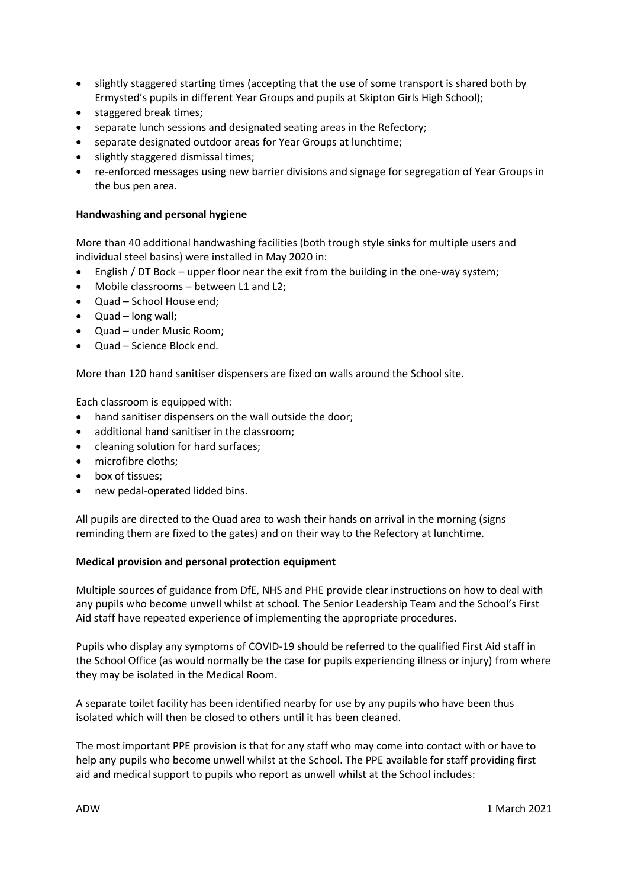- slightly staggered starting times (accepting that the use of some transport is shared both by Ermysted's pupils in different Year Groups and pupils at Skipton Girls High School);
- staggered break times:
- separate lunch sessions and designated seating areas in the Refectory;
- separate designated outdoor areas for Year Groups at lunchtime;
- slightly staggered dismissal times:
- re-enforced messages using new barrier divisions and signage for segregation of Year Groups in the bus pen area.

## **Handwashing and personal hygiene**

More than 40 additional handwashing facilities (both trough style sinks for multiple users and individual steel basins) were installed in May 2020 in:

- English / DT Bock upper floor near the exit from the building in the one-way system;
- Mobile classrooms between L1 and L2;
- Quad School House end;
- Quad long wall;
- Quad under Music Room;
- Quad Science Block end.

More than 120 hand sanitiser dispensers are fixed on walls around the School site.

Each classroom is equipped with:

- hand sanitiser dispensers on the wall outside the door;
- additional hand sanitiser in the classroom;
- cleaning solution for hard surfaces;
- microfibre cloths;
- box of tissues;
- new pedal-operated lidded bins.

All pupils are directed to the Quad area to wash their hands on arrival in the morning (signs reminding them are fixed to the gates) and on their way to the Refectory at lunchtime.

## **Medical provision and personal protection equipment**

Multiple sources of guidance from DfE, NHS and PHE provide clear instructions on how to deal with any pupils who become unwell whilst at school. The Senior Leadership Team and the School's First Aid staff have repeated experience of implementing the appropriate procedures.

Pupils who display any symptoms of COVID-19 should be referred to the qualified First Aid staff in the School Office (as would normally be the case for pupils experiencing illness or injury) from where they may be isolated in the Medical Room.

A separate toilet facility has been identified nearby for use by any pupils who have been thus isolated which will then be closed to others until it has been cleaned.

The most important PPE provision is that for any staff who may come into contact with or have to help any pupils who become unwell whilst at the School. The PPE available for staff providing first aid and medical support to pupils who report as unwell whilst at the School includes: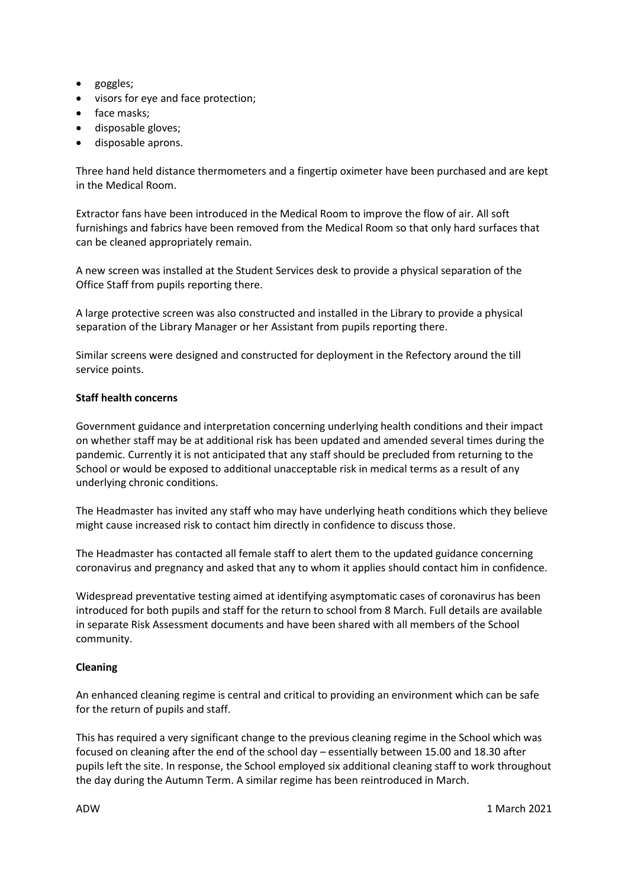- goggles;
- visors for eye and face protection;
- face masks;
- disposable gloves;
- disposable aprons.

Three hand held distance thermometers and a fingertip oximeter have been purchased and are kept in the Medical Room.

Extractor fans have been introduced in the Medical Room to improve the flow of air. All soft furnishings and fabrics have been removed from the Medical Room so that only hard surfaces that can be cleaned appropriately remain.

A new screen was installed at the Student Services desk to provide a physical separation of the Office Staff from pupils reporting there.

A large protective screen was also constructed and installed in the Library to provide a physical separation of the Library Manager or her Assistant from pupils reporting there.

Similar screens were designed and constructed for deployment in the Refectory around the till service points.

### **Staff health concerns**

Government guidance and interpretation concerning underlying health conditions and their impact on whether staff may be at additional risk has been updated and amended several times during the pandemic. Currently it is not anticipated that any staff should be precluded from returning to the School or would be exposed to additional unacceptable risk in medical terms as a result of any underlying chronic conditions.

The Headmaster has invited any staff who may have underlying heath conditions which they believe might cause increased risk to contact him directly in confidence to discuss those.

The Headmaster has contacted all female staff to alert them to the updated guidance concerning coronavirus and pregnancy and asked that any to whom it applies should contact him in confidence.

Widespread preventative testing aimed at identifying asymptomatic cases of coronavirus has been introduced for both pupils and staff for the return to school from 8 March. Full details are available in separate Risk Assessment documents and have been shared with all members of the School community.

### **Cleaning**

An enhanced cleaning regime is central and critical to providing an environment which can be safe for the return of pupils and staff.

This has required a very significant change to the previous cleaning regime in the School which was focused on cleaning after the end of the school day – essentially between 15.00 and 18.30 after pupils left the site. In response, the School employed six additional cleaning staff to work throughout the day during the Autumn Term. A similar regime has been reintroduced in March.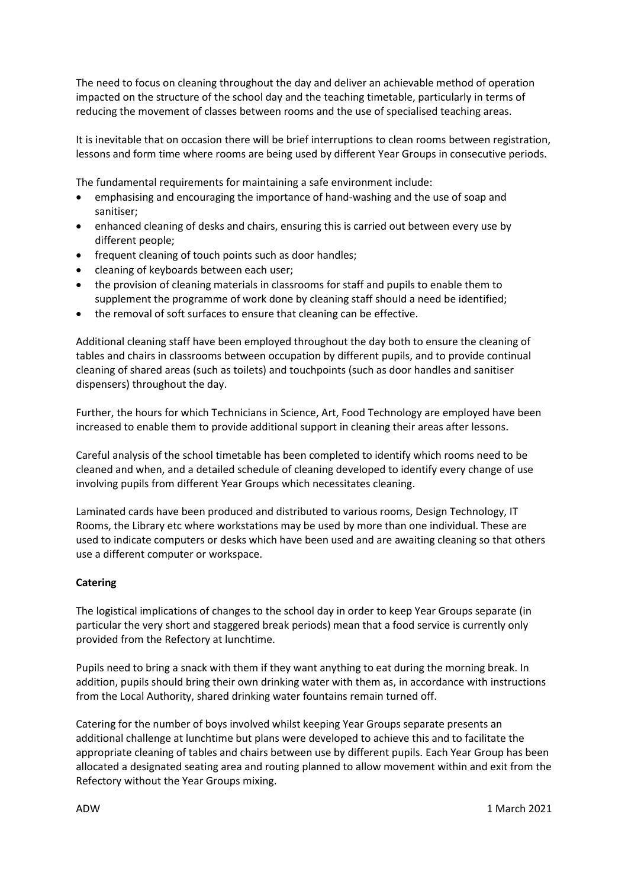The need to focus on cleaning throughout the day and deliver an achievable method of operation impacted on the structure of the school day and the teaching timetable, particularly in terms of reducing the movement of classes between rooms and the use of specialised teaching areas.

It is inevitable that on occasion there will be brief interruptions to clean rooms between registration, lessons and form time where rooms are being used by different Year Groups in consecutive periods.

The fundamental requirements for maintaining a safe environment include:

- emphasising and encouraging the importance of hand-washing and the use of soap and sanitiser;
- enhanced cleaning of desks and chairs, ensuring this is carried out between every use by different people;
- frequent cleaning of touch points such as door handles;
- cleaning of keyboards between each user;
- the provision of cleaning materials in classrooms for staff and pupils to enable them to supplement the programme of work done by cleaning staff should a need be identified;
- the removal of soft surfaces to ensure that cleaning can be effective.

Additional cleaning staff have been employed throughout the day both to ensure the cleaning of tables and chairs in classrooms between occupation by different pupils, and to provide continual cleaning of shared areas (such as toilets) and touchpoints (such as door handles and sanitiser dispensers) throughout the day.

Further, the hours for which Technicians in Science, Art, Food Technology are employed have been increased to enable them to provide additional support in cleaning their areas after lessons.

Careful analysis of the school timetable has been completed to identify which rooms need to be cleaned and when, and a detailed schedule of cleaning developed to identify every change of use involving pupils from different Year Groups which necessitates cleaning.

Laminated cards have been produced and distributed to various rooms, Design Technology, IT Rooms, the Library etc where workstations may be used by more than one individual. These are used to indicate computers or desks which have been used and are awaiting cleaning so that others use a different computer or workspace.

### **Catering**

The logistical implications of changes to the school day in order to keep Year Groups separate (in particular the very short and staggered break periods) mean that a food service is currently only provided from the Refectory at lunchtime.

Pupils need to bring a snack with them if they want anything to eat during the morning break. In addition, pupils should bring their own drinking water with them as, in accordance with instructions from the Local Authority, shared drinking water fountains remain turned off.

Catering for the number of boys involved whilst keeping Year Groups separate presents an additional challenge at lunchtime but plans were developed to achieve this and to facilitate the appropriate cleaning of tables and chairs between use by different pupils. Each Year Group has been allocated a designated seating area and routing planned to allow movement within and exit from the Refectory without the Year Groups mixing.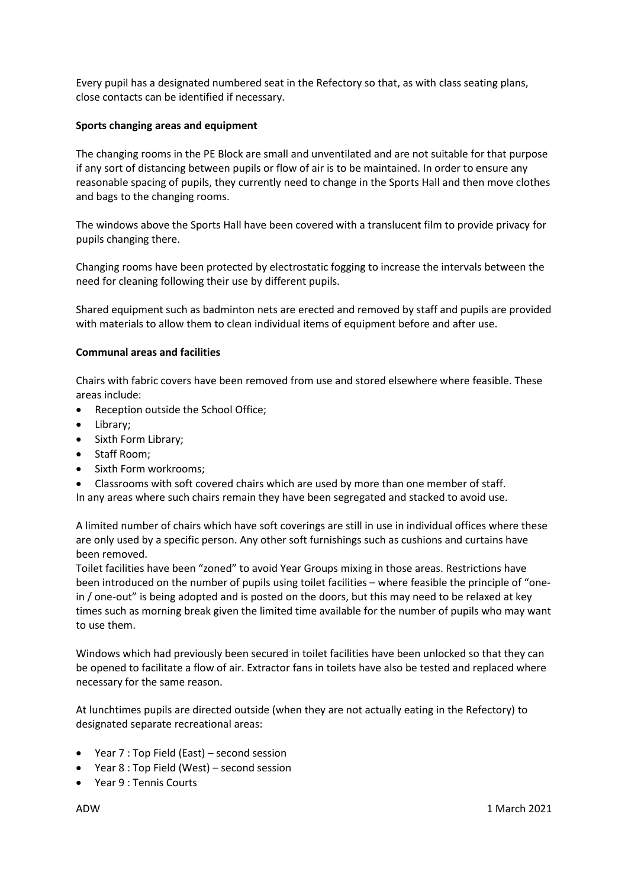Every pupil has a designated numbered seat in the Refectory so that, as with class seating plans, close contacts can be identified if necessary.

## **Sports changing areas and equipment**

The changing rooms in the PE Block are small and unventilated and are not suitable for that purpose if any sort of distancing between pupils or flow of air is to be maintained. In order to ensure any reasonable spacing of pupils, they currently need to change in the Sports Hall and then move clothes and bags to the changing rooms.

The windows above the Sports Hall have been covered with a translucent film to provide privacy for pupils changing there.

Changing rooms have been protected by electrostatic fogging to increase the intervals between the need for cleaning following their use by different pupils.

Shared equipment such as badminton nets are erected and removed by staff and pupils are provided with materials to allow them to clean individual items of equipment before and after use.

### **Communal areas and facilities**

Chairs with fabric covers have been removed from use and stored elsewhere where feasible. These areas include:

- Reception outside the School Office;
- Library:
- Sixth Form Library;
- Staff Room;
- Sixth Form workrooms:
- Classrooms with soft covered chairs which are used by more than one member of staff.

In any areas where such chairs remain they have been segregated and stacked to avoid use.

A limited number of chairs which have soft coverings are still in use in individual offices where these are only used by a specific person. Any other soft furnishings such as cushions and curtains have been removed.

Toilet facilities have been "zoned" to avoid Year Groups mixing in those areas. Restrictions have been introduced on the number of pupils using toilet facilities – where feasible the principle of "onein / one-out" is being adopted and is posted on the doors, but this may need to be relaxed at key times such as morning break given the limited time available for the number of pupils who may want to use them.

Windows which had previously been secured in toilet facilities have been unlocked so that they can be opened to facilitate a flow of air. Extractor fans in toilets have also be tested and replaced where necessary for the same reason.

At lunchtimes pupils are directed outside (when they are not actually eating in the Refectory) to designated separate recreational areas:

- Year 7 : Top Field (East) second session
- Year 8 : Top Field (West) second session
- Year 9 : Tennis Courts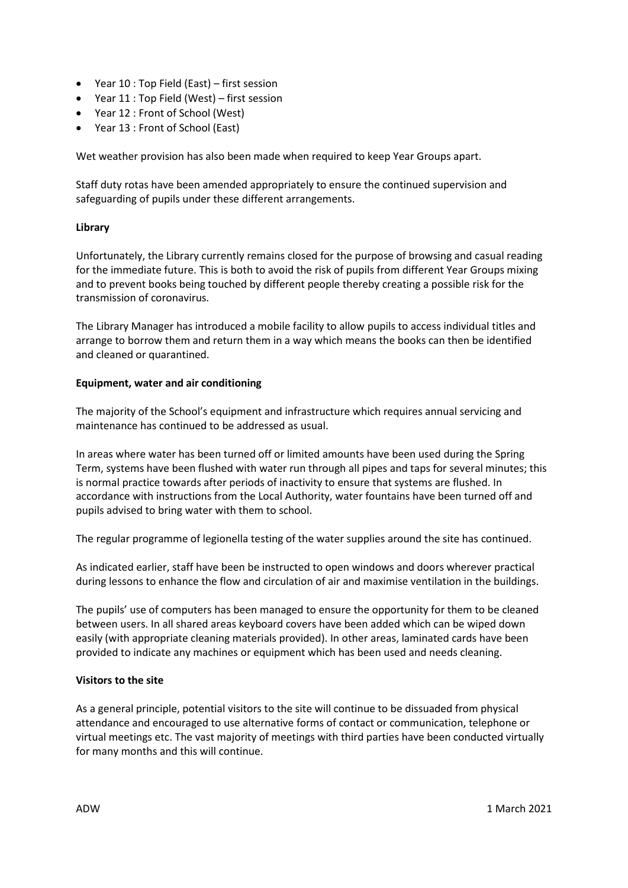- Year 10 : Top Field (East) first session
- Year 11 : Top Field (West) first session
- Year 12 : Front of School (West)
- Year 13 : Front of School (East)

Wet weather provision has also been made when required to keep Year Groups apart.

Staff duty rotas have been amended appropriately to ensure the continued supervision and safeguarding of pupils under these different arrangements.

### **Library**

Unfortunately, the Library currently remains closed for the purpose of browsing and casual reading for the immediate future. This is both to avoid the risk of pupils from different Year Groups mixing and to prevent books being touched by different people thereby creating a possible risk for the transmission of coronavirus.

The Library Manager has introduced a mobile facility to allow pupils to access individual titles and arrange to borrow them and return them in a way which means the books can then be identified and cleaned or quarantined.

### **Equipment, water and air conditioning**

The majority of the School's equipment and infrastructure which requires annual servicing and maintenance has continued to be addressed as usual.

In areas where water has been turned off or limited amounts have been used during the Spring Term, systems have been flushed with water run through all pipes and taps for several minutes; this is normal practice towards after periods of inactivity to ensure that systems are flushed. In accordance with instructions from the Local Authority, water fountains have been turned off and pupils advised to bring water with them to school.

The regular programme of legionella testing of the water supplies around the site has continued.

As indicated earlier, staff have been be instructed to open windows and doors wherever practical during lessons to enhance the flow and circulation of air and maximise ventilation in the buildings.

The pupils' use of computers has been managed to ensure the opportunity for them to be cleaned between users. In all shared areas keyboard covers have been added which can be wiped down easily (with appropriate cleaning materials provided). In other areas, laminated cards have been provided to indicate any machines or equipment which has been used and needs cleaning.

### **Visitors to the site**

As a general principle, potential visitors to the site will continue to be dissuaded from physical attendance and encouraged to use alternative forms of contact or communication, telephone or virtual meetings etc. The vast majority of meetings with third parties have been conducted virtually for many months and this will continue.